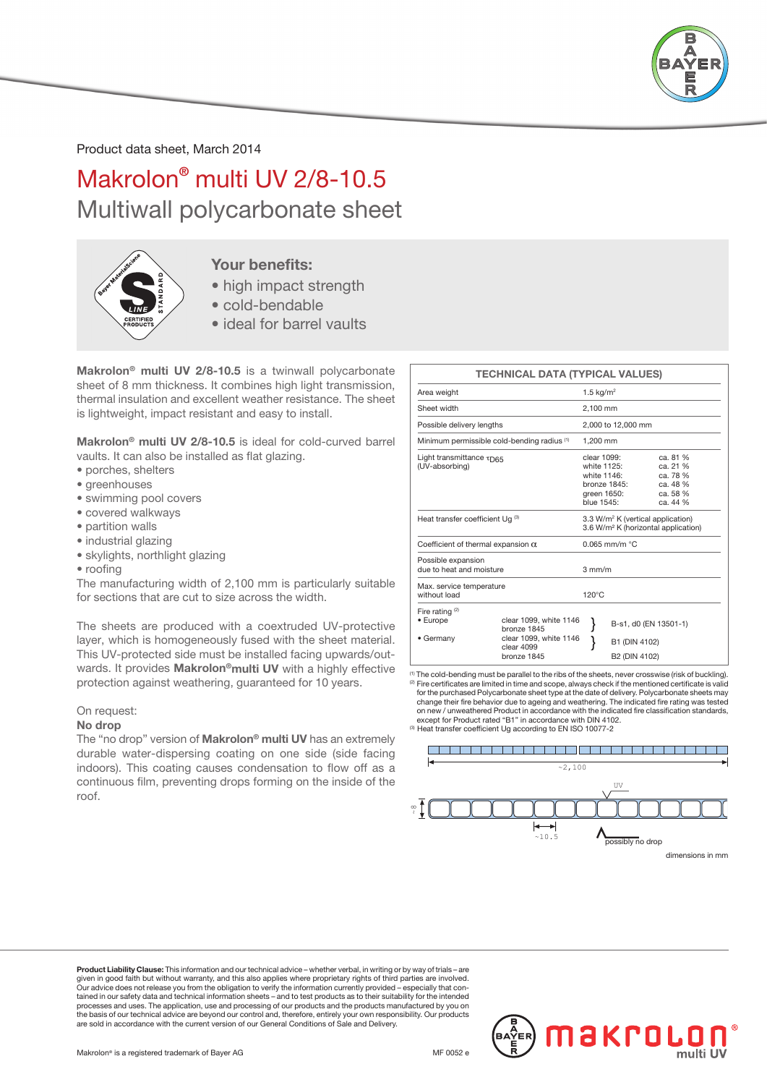

Product data sheet, March 2014

Makrolon® multi UV 2/8-10.5 Multiwall polycarbonate sheet



### Your benefits:

- high impact strength
- cold-bendable
- ideal for barrel vaults

Makrolon® multi UV 2/8-10.5 is a twinwall polycarbonate sheet of 8 mm thickness. It combines high light transmission, thermal insulation and excellent weather resistance. The sheet is lightweight, impact resistant and easy to install.

Makrolon® multi UV 2/8-10.5 is ideal for cold-curved barrel vaults. It can also be installed as flat glazing.

- porches, shelters
- greenhouses
- swimming pool covers
- covered walkways
- partition walls
- industrial glazing
- skylights, northlight glazing
- roofing

The manufacturing width of 2,100 mm is particularly suitable for sections that are cut to size across the width.

The sheets are produced with a coextruded UV-protective layer, which is homogeneously fused with the sheet material. This UV-protected side must be installed facing upwards/outwards. It provides Makrolon®multi UV with a highly effective protection against weathering, guaranteed for 10 years.

### On request:

### No drop

The "no drop" version of Makrolon® multi UV has an extremely durable water-dispersing coating on one side (side facing indoors). This coating causes condensation to flow off as a continuous film, preventing drops forming on the inside of the roof.

|                                                           | <b>TECHNICAL DATA (TYPICAL VALUES)</b>              |                                                                                                  |                                                                                        |                                                                      |  |  |
|-----------------------------------------------------------|-----------------------------------------------------|--------------------------------------------------------------------------------------------------|----------------------------------------------------------------------------------------|----------------------------------------------------------------------|--|--|
| Area weight                                               |                                                     |                                                                                                  | 1.5 $kg/m2$                                                                            |                                                                      |  |  |
| Sheet width                                               |                                                     |                                                                                                  | 2.100 mm                                                                               |                                                                      |  |  |
| Possible delivery lengths                                 |                                                     |                                                                                                  | 2,000 to 12,000 mm                                                                     |                                                                      |  |  |
| Minimum permissible cold-bending radius (1)               |                                                     |                                                                                                  | 1.200 mm                                                                               |                                                                      |  |  |
| Light transmittance $\tau_{\text{D65}}$<br>(UV-absorbing) |                                                     |                                                                                                  | clear 1099:<br>white 1125:<br>white 1146:<br>bronze 1845:<br>green 1650:<br>blue 1545: | ca. 81 %<br>ca. 21 %<br>ca. 78 %<br>ca. 48 %<br>ca. 58 %<br>ca. 44 % |  |  |
| Heat transfer coefficient Ug (3)                          |                                                     | 3.3 W/m <sup>2</sup> K (vertical application)<br>3.6 W/m <sup>2</sup> K (horizontal application) |                                                                                        |                                                                      |  |  |
| Coefficient of thermal expansion $\alpha$                 |                                                     |                                                                                                  | $0.065$ mm/m $°C$                                                                      |                                                                      |  |  |
| Possible expansion<br>due to heat and moisture            |                                                     | $3 \text{ mm/m}$                                                                                 |                                                                                        |                                                                      |  |  |
| Max. service temperature<br>without load                  |                                                     | $120^{\circ}$ C                                                                                  |                                                                                        |                                                                      |  |  |
| Fire rating $(2)$<br>• Europe                             | clear 1099, white 1146<br>bronze 1845               |                                                                                                  |                                                                                        | B-s1, d0 (EN 13501-1)                                                |  |  |
| • Germany                                                 | clear 1099, white 1146<br>clear 4099<br>bronze 1845 |                                                                                                  | B1 (DIN 4102)<br>B2 (DIN 4102)                                                         |                                                                      |  |  |

(1) The cold-bending must be parallel to the ribs of the sheets, never crosswise (risk of buckling). (2) Fire certificates are limited in time and scope, always check if the mentioned certificate is valid for the purchased Polycarbonate sheet type at the date of delivery. Polycarbonate sheets may change their fire behavior due to ageing and weathering. The indicated fire rating was tested on new / unweathered Product in accordance with the indicated fire classification standards, except for Product rated "B1" in accordance with DIN 4102. (3) Heat transfer coefficient Ug according to EN ISO 10077-2



Product Liability Clause: This information and our technical advice – whether verbal, in writing or by way of trials – are given in good faith but without warranty, and this also applies where proprietary rights of third parties are involved.<br>Our advice does not release you from the obligation to verify the information currently provided – esp tained in our safety data and technical information sheets – and to test products as to their suitability for the intended processes and uses. The application, use and processing of our products and the products manufactured by you on the basis of our technical advice are beyond our control and, therefore, entirely your own responsibility. Our products are sold in accordance with the current version of our General Conditions of Sale and Delivery.

Makrolon® is a registered trademark of Bayer AG  $\blacksquare$  MF 0052 e